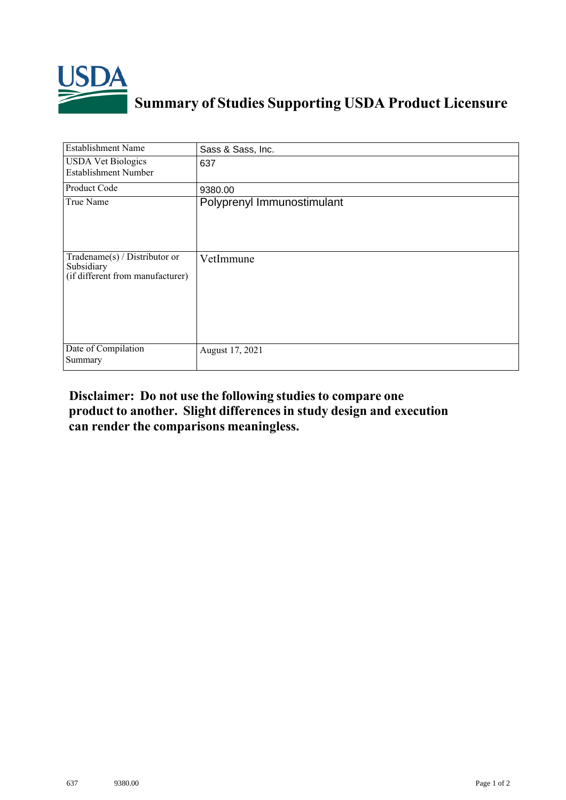

## **Summary of Studies Supporting USDA Product Licensure**

| <b>Establishment Name</b>                                                          | Sass & Sass, Inc.          |
|------------------------------------------------------------------------------------|----------------------------|
| <b>USDA Vet Biologics</b><br><b>Establishment Number</b>                           | 637                        |
| Product Code                                                                       | 9380.00                    |
| True Name                                                                          | Polyprenyl Immunostimulant |
| Tradename $(s)$ / Distributor or<br>Subsidiary<br>(if different from manufacturer) | VetImmune                  |
| Date of Compilation<br>Summary                                                     | August 17, 2021            |

## **Disclaimer: Do not use the following studiesto compare one product to another. Slight differencesin study design and execution can render the comparisons meaningless.**